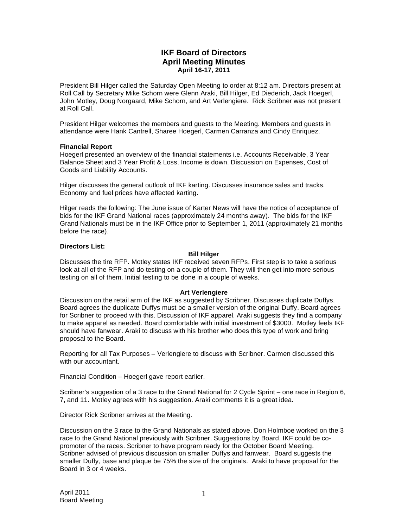# **IKF Board of Directors April Meeting Minutes April 16-17, 2011**

President Bill Hilger called the Saturday Open Meeting to order at 8:12 am. Directors present at Roll Call by Secretary Mike Schorn were Glenn Araki, Bill Hilger, Ed Diederich, Jack Hoegerl, John Motley, Doug Norgaard, Mike Schorn, and Art Verlengiere. Rick Scribner was not present at Roll Call.

President Hilger welcomes the members and guests to the Meeting. Members and guests in attendance were Hank Cantrell, Sharee Hoegerl, Carmen Carranza and Cindy Enriquez.

### **Financial Report**

Hoegerl presented an overview of the financial statements i.e. Accounts Receivable, 3 Year Balance Sheet and 3 Year Profit & Loss. Income is down. Discussion on Expenses, Cost of Goods and Liability Accounts.

Hilger discusses the general outlook of IKF karting. Discusses insurance sales and tracks. Economy and fuel prices have affected karting.

Hilger reads the following: The June issue of Karter News will have the notice of acceptance of bids for the IKF Grand National races (approximately 24 months away). The bids for the IKF Grand Nationals must be in the IKF Office prior to September 1, 2011 (approximately 21 months before the race).

### **Directors List:**

#### **Bill Hilger**

Discusses the tire RFP. Motley states IKF received seven RFPs. First step is to take a serious look at all of the RFP and do testing on a couple of them. They will then get into more serious testing on all of them. Initial testing to be done in a couple of weeks.

### **Art Verlengiere**

Discussion on the retail arm of the IKF as suggested by Scribner. Discusses duplicate Duffys. Board agrees the duplicate Duffys must be a smaller version of the original Duffy. Board agrees for Scribner to proceed with this. Discussion of IKF apparel. Araki suggests they find a company to make apparel as needed. Board comfortable with initial investment of \$3000. Motley feels IKF should have fanwear. Araki to discuss with his brother who does this type of work and bring proposal to the Board.

Reporting for all Tax Purposes – Verlengiere to discuss with Scribner. Carmen discussed this with our accountant.

Financial Condition – Hoegerl gave report earlier.

Scribner's suggestion of a 3 race to the Grand National for 2 Cycle Sprint – one race in Region 6, 7, and 11. Motley agrees with his suggestion. Araki comments it is a great idea.

Director Rick Scribner arrives at the Meeting.

Discussion on the 3 race to the Grand Nationals as stated above. Don Holmboe worked on the 3 race to the Grand National previously with Scribner. Suggestions by Board. IKF could be copromoter of the races. Scribner to have program ready for the October Board Meeting. Scribner advised of previous discussion on smaller Duffys and fanwear. Board suggests the smaller Duffy, base and plaque be 75% the size of the originals. Araki to have proposal for the Board in 3 or 4 weeks.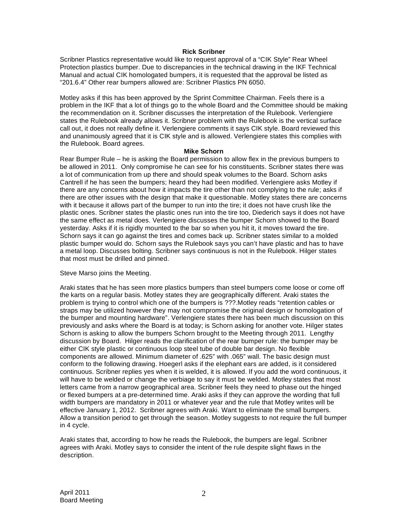### **Rick Scribner**

Scribner Plastics representative would like to request approval of a "CIK Style" Rear Wheel Protection plastics bumper. Due to discrepancies in the technical drawing in the IKF Technical Manual and actual CIK homologated bumpers, it is requested that the approval be listed as "201.6.4" Other rear bumpers allowed are: Scribner Plastics PN 6050.

Motley asks if this has been approved by the Sprint Committee Chairman. Feels there is a problem in the IKF that a lot of things go to the whole Board and the Committee should be making the recommendation on it. Scribner discusses the interpretation of the Rulebook. Verlengiere states the Rulebook already allows it. Scribner problem with the Rulebook is the vertical surface call out, it does not really define it. Verlengiere comments it says CIK style. Board reviewed this and unanimously agreed that it is CIK style and is allowed. Verlengiere states this complies with the Rulebook. Board agrees.

#### **Mike Schorn**

Rear Bumper Rule – he is asking the Board permission to allow flex in the previous bumpers to be allowed in 2011. Only compromise he can see for his constituents. Scribner states there was a lot of communication from up there and should speak volumes to the Board. Schorn asks Cantrell if he has seen the bumpers; heard they had been modified. Verlengiere asks Motley if there are any concerns about how it impacts the tire other than not complying to the rule; asks if there are other issues with the design that make it questionable. Motley states there are concerns with it because it allows part of the bumper to run into the tire; it does not have crush like the plastic ones. Scribner states the plastic ones run into the tire too, Diederich says it does not have the same effect as metal does. Verlengiere discusses the bumper Schorn showed to the Board yesterday. Asks if it is rigidly mounted to the bar so when you hit it, it moves toward the tire. Schorn says it can go against the tires and comes back up. Scribner states similar to a molded plastic bumper would do. Schorn says the Rulebook says you can't have plastic and has to have a metal loop. Discusses bolting. Scribner says continuous is not in the Rulebook. Hilger states that most must be drilled and pinned.

### Steve Marso joins the Meeting.

Araki states that he has seen more plastics bumpers than steel bumpers come loose or come off the karts on a regular basis. Motley states they are geographically different. Araki states the problem is trying to control which one of the bumpers is ???.Motley reads "retention cables or straps may be utilized however they may not compromise the original design or homologation of the bumper and mounting hardware". Verlengiere states there has been much discussion on this previously and asks where the Board is at today; is Schorn asking for another vote. Hilger states Schorn is asking to allow the bumpers Schorn brought to the Meeting through 2011. Lengthy discussion by Board. Hilger reads the clarification of the rear bumper rule: the bumper may be either CIK style plastic or continuous loop steel tube of double bar design. No flexible components are allowed. Minimum diameter of .625" with .065" wall. The basic design must conform to the following drawing. Hoegerl asks if the elephant ears are added, is it considered continuous. Scribner replies yes when it is welded, it is allowed. If you add the word continuous, it will have to be welded or change the verbiage to say it must be welded. Motley states that most letters came from a narrow geographical area. Scribner feels they need to phase out the hinged or flexed bumpers at a pre-determined time. Araki asks if they can approve the wording that full width bumpers are mandatory in 2011 or whatever year and the rule that Motley writes will be effective January 1, 2012. Scribner agrees with Araki. Want to eliminate the small bumpers. Allow a transition period to get through the season. Motley suggests to not require the full bumper in 4 cycle.

Araki states that, according to how he reads the Rulebook, the bumpers are legal. Scribner agrees with Araki. Motley says to consider the intent of the rule despite slight flaws in the description.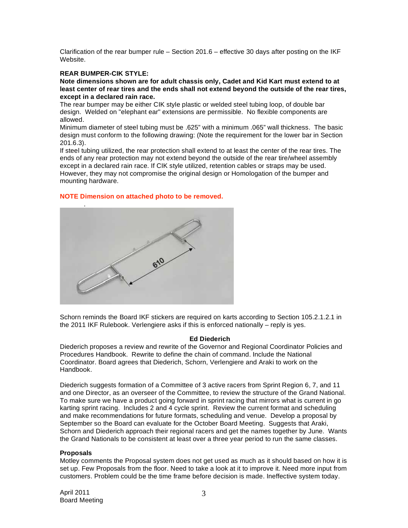Clarification of the rear bumper rule – Section 201.6 – effective 30 days after posting on the IKF Website.

## **REAR BUMPER-CIK STYLE:**

**Note dimensions shown are for adult chassis only, Cadet and Kid Kart must extend to at least center of rear tires and the ends shall not extend beyond the outside of the rear tires, except in a declared rain race.** 

The rear bumper may be either CIK style plastic or welded steel tubing loop, of double bar design. Welded on "elephant ear" extensions are permissible. No flexible components are allowed.

Minimum diameter of steel tubing must be .625" with a minimum .065" wall thickness. The basic design must conform to the following drawing: (Note the requirement for the lower bar in Section 201.6.3).

If steel tubing utilized, the rear protection shall extend to at least the center of the rear tires. The ends of any rear protection may not extend beyond the outside of the rear tire/wheel assembly except in a declared rain race. If CIK style utilized, retention cables or straps may be used. However, they may not compromise the original design or Homologation of the bumper and mounting hardware.

## **NOTE Dimension on attached photo to be removed.**



Schorn reminds the Board IKF stickers are required on karts according to Section 105.2.1.2.1 in the 2011 IKF Rulebook. Verlengiere asks if this is enforced nationally – reply is yes.

### **Ed Diederich**

Diederich proposes a review and rewrite of the Governor and Regional Coordinator Policies and Procedures Handbook. Rewrite to define the chain of command. Include the National Coordinator. Board agrees that Diederich, Schorn, Verlengiere and Araki to work on the Handbook.

Diederich suggests formation of a Committee of 3 active racers from Sprint Region 6, 7, and 11 and one Director, as an overseer of the Committee, to review the structure of the Grand National. To make sure we have a product going forward in sprint racing that mirrors what is current in go karting sprint racing. Includes 2 and 4 cycle sprint. Review the current format and scheduling and make recommendations for future formats, scheduling and venue. Develop a proposal by September so the Board can evaluate for the October Board Meeting. Suggests that Araki, Schorn and Diederich approach their regional racers and get the names together by June. Wants the Grand Nationals to be consistent at least over a three year period to run the same classes.

#### **Proposals**

Motley comments the Proposal system does not get used as much as it should based on how it is set up. Few Proposals from the floor. Need to take a look at it to improve it. Need more input from customers. Problem could be the time frame before decision is made. Ineffective system today.

April 2011 Board Meeting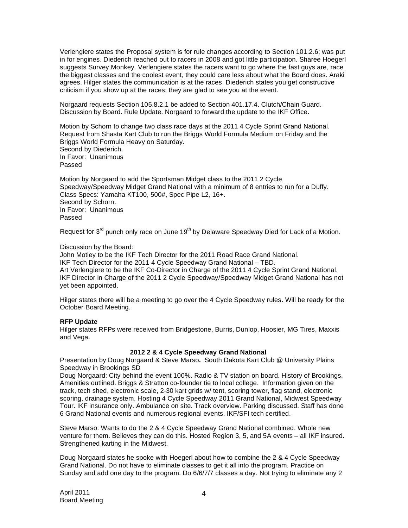Verlengiere states the Proposal system is for rule changes according to Section 101.2.6; was put in for engines. Diederich reached out to racers in 2008 and got little participation. Sharee Hoegerl suggests Survey Monkey. Verlengiere states the racers want to go where the fast guys are, race the biggest classes and the coolest event, they could care less about what the Board does. Araki agrees. Hilger states the communication is at the races. Diederich states you get constructive criticism if you show up at the races; they are glad to see you at the event.

Norgaard requests Section 105.8.2.1 be added to Section 401.17.4. Clutch/Chain Guard. Discussion by Board. Rule Update. Norgaard to forward the update to the IKF Office.

Motion by Schorn to change two class race days at the 2011 4 Cycle Sprint Grand National. Request from Shasta Kart Club to run the Briggs World Formula Medium on Friday and the Briggs World Formula Heavy on Saturday. Second by Diederich. In Favor: Unanimous Passed

Motion by Norgaard to add the Sportsman Midget class to the 2011 2 Cycle Speedway/Speedway Midget Grand National with a minimum of 8 entries to run for a Duffy. Class Specs: Yamaha KT100, 500#, Spec Pipe L2, 16+. Second by Schorn. In Favor: Unanimous Passed

Request for  $3^{rd}$  punch only race on June  $19^{th}$  by Delaware Speedway Died for Lack of a Motion.

### Discussion by the Board:

John Motley to be the IKF Tech Director for the 2011 Road Race Grand National. IKF Tech Director for the 2011 4 Cycle Speedway Grand National – TBD. Art Verlengiere to be the IKF Co-Director in Charge of the 2011 4 Cycle Sprint Grand National. IKF Director in Charge of the 2011 2 Cycle Speedway/Speedway Midget Grand National has not yet been appointed.

Hilger states there will be a meeting to go over the 4 Cycle Speedway rules. Will be ready for the October Board Meeting.

### **RFP Update**

Hilger states RFPs were received from Bridgestone, Burris, Dunlop, Hoosier, MG Tires, Maxxis and Vega.

### **2012 2 & 4 Cycle Speedway Grand National**

Presentation by Doug Norgaard & Steve Marso**.** South Dakota Kart Club @ University Plains Speedway in Brookings SD

Doug Norgaard: City behind the event 100%. Radio & TV station on board. History of Brookings. Amenities outlined. Briggs & Stratton co-founder tie to local college. Information given on the track, tech shed, electronic scale, 2-30 kart grids w/ tent, scoring tower, flag stand, electronic scoring, drainage system. Hosting 4 Cycle Speedway 2011 Grand National, Midwest Speedway Tour. IKF insurance only. Ambulance on site. Track overview. Parking discussed. Staff has done 6 Grand National events and numerous regional events. IKF/SFI tech certified.

Steve Marso: Wants to do the 2 & 4 Cycle Speedway Grand National combined. Whole new venture for them. Believes they can do this. Hosted Region 3, 5, and 5A events – all IKF insured. Strengthened karting in the Midwest.

Doug Norgaard states he spoke with Hoegerl about how to combine the 2 & 4 Cycle Speedway Grand National. Do not have to eliminate classes to get it all into the program. Practice on Sunday and add one day to the program. Do 6/6/7/7 classes a day. Not trying to eliminate any 2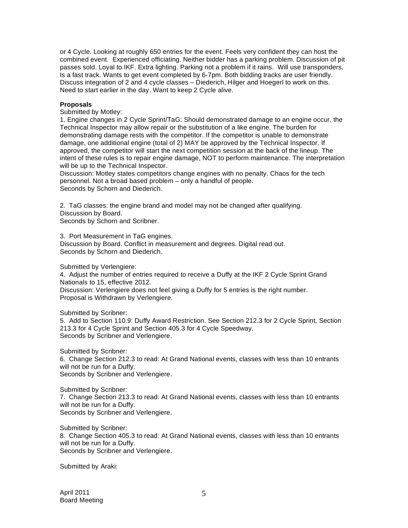or 4 Cycle. Looking at roughly 650 entries for the event. Feels very confident they can host the combined event. Experienced officiating. Neither bidder has a parking problem. Discussion of pit passes sold. Loyal to IKF. Extra lighting. Parking not a problem if it rains. Will use transponders. Is a fast track. Wants to get event completed by 6-7pm. Both bidding tracks are user friendly. Discuss integration of 2 and 4 cycle classes – Diederich, Hilger and Hoegerl to work on this. Need to start earlier in the day. Want to keep 2 Cycle alive.

## **Proposals**

Submitted by Motley:

1. Engine changes in 2 Cycle Sprint/TaG: Should demonstrated damage to an engine occur, the Technical Inspector may allow repair or the substitution of a like engine. The burden for demonstrating damage rests with the competitor. If the competitor is unable to demonstrate damage, one additional engine (total of 2) MAY be approved by the Technical Inspector. If approved, the competitor will start the next competition session at the back of the lineup. The intent of these rules is to repair engine damage, NOT to perform maintenance. The interpretation will be up to the Technical Inspector.

Discussion: Motley states competitors change engines with no penalty. Chaos for the tech personnel. Not a broad based problem – only a handful of people. Seconds by Schorn and Diederich.

2. TaG classes: the engine brand and model may not be changed after qualifying. Discussion by Board.

Seconds by Schorn and Scribner.

3. Port Measurement in TaG engines.

Discussion by Board. Conflict in measurement and degrees. Digital read out. Seconds by Schorn and Diederich.

Submitted by Verlengiere:

4. Adjust the number of entries required to receive a Duffy at the IKF 2 Cycle Sprint Grand Nationals to 15, effective 2012.

Discussion: Verlengiere does not feel giving a Duffy for 5 entries is the right number. Proposal is Withdrawn by Verlengiere.

Submitted by Scribner:

5. Add to Section 110.9: Duffy Award Restriction. See Section 212.3 for 2 Cycle Sprint, Section 213.3 for 4 Cycle Sprint and Section 405.3 for 4 Cycle Speedway. Seconds by Scribner and Verlengiere.

Submitted by Scribner: 6. Change Section 212.3 to read: At Grand National events, classes with less than 10 entrants will not be run for a Duffy. Seconds by Scribner and Verlengiere.

Submitted by Scribner: 7. Change Section 213.3 to read: At Grand National events, classes with less than 10 entrants will not be run for a Duffy. Seconds by Scribner and Verlengiere.

Submitted by Scribner: 8. Change Section 405.3 to read: At Grand National events, classes with less than 10 entrants will not be run for a Duffy. Seconds by Scribner and Verlengiere.

Submitted by Araki: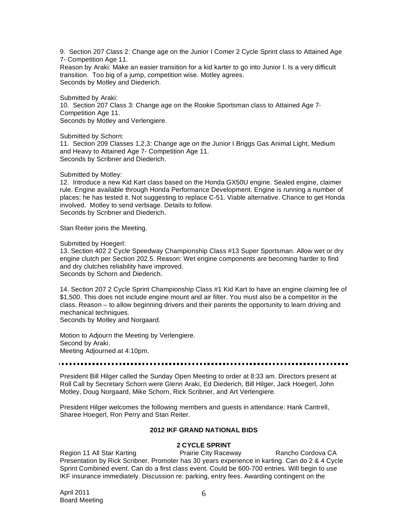9. Section 207 Class 2: Change age on the Junior I Comer 2 Cycle Sprint class to Attained Age 7- Competition Age 11.

Reason by Araki: Make an easier transition for a kid karter to go into Junior I. Is a very difficult transition. Too big of a jump, competition wise. Motley agrees. Seconds by Motley and Diederich.

Submitted by Araki: 10. Section 207 Class 3: Change age on the Rookie Sportsman class to Attained Age 7- Competition Age 11. Seconds by Motley and Verlengiere.

Submitted by Schorn:

11. Section 209 Classes 1,2,3: Change age on the Junior I Briggs Gas Animal Light, Medium and Heavy to Attained Age 7- Competition Age 11. Seconds by Scribner and Diederich.

Submitted by Motley:

12. Introduce a new Kid Kart class based on the Honda GX50U engine. Sealed engine, claimer rule. Engine available through Honda Performance Development. Engine is running a number of places; he has tested it. Not suggesting to replace C-51. Viable alternative. Chance to get Honda involved. Motley to send verbiage. Details to follow. Seconds by Scribner and Diederich.

Stan Reiter joins the Meeting.

Submitted by Hoegerl:

13. Section 402 2 Cycle Speedway Championship Class #13 Super Sportsman. Allow wet or dry engine clutch per Section 202.5. Reason: Wet engine components are becoming harder to find and dry clutches reliability have improved. Seconds by Schorn and Diederich.

14. Section 207 2 Cycle Sprint Championship Class #1 Kid Kart to have an engine claiming fee of \$1,500. This does not include engine mount and air filter. You must also be a competitor in the class. Reason – to allow beginning drivers and their parents the opportunity to learn driving and mechanical techniques.

Seconds by Motley and Norgaard.

Motion to Adjourn the Meeting by Verlengiere. Second by Araki. Meeting Adjourned at 4:10pm.

President Bill Hilger called the Sunday Open Meeting to order at 8:33 am. Directors present at Roll Call by Secretary Schorn were Glenn Araki, Ed Diederich, Bill Hilger, Jack Hoegerl, John Motley, Doug Norgaard, Mike Schorn, Rick Scribner, and Art Verlengiere.

President Hilger welcomes the following members and guests in attendance: Hank Cantrell, Sharee Hoegerl, Ron Perry and Stan Reiter.

## **2012 IKF GRAND NATIONAL BIDS**

# **2 CYCLE SPRINT**

Region 11 All Star Karting **Prairie City Raceway** Rancho Cordova CA Presentation by Rick Scribner. Promoter has 30 years experience in karting. Can do 2 & 4 Cycle Sprint Combined event. Can do a first class event. Could be 600-700 entries. Will begin to use IKF insurance immediately. Discussion re: parking, entry fees. Awarding contingent on the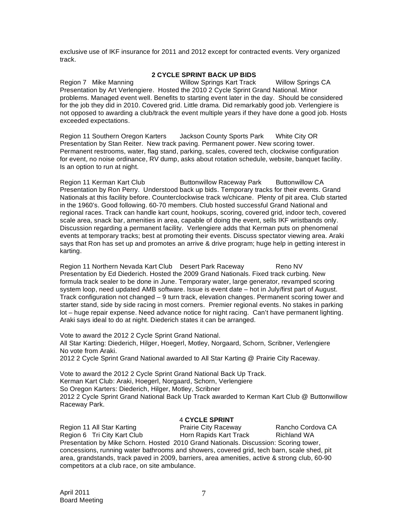exclusive use of IKF insurance for 2011 and 2012 except for contracted events. Very organized track.

# **2 CYCLE SPRINT BACK UP BIDS**

Region 7 Mike Manning Willow Springs Kart Track Willow Springs CA Presentation by Art Verlengiere. Hosted the 2010 2 Cycle Sprint Grand National. Minor problems. Managed event well. Benefits to starting event later in the day. Should be considered for the job they did in 2010. Covered grid. Little drama. Did remarkably good job. Verlengiere is not opposed to awarding a club/track the event multiple years if they have done a good job. Hosts exceeded expectations.

Region 11 Southern Oregon Karters Jackson County Sports Park White City OR Presentation by Stan Reiter. New track paving. Permanent power. New scoring tower. Permanent restrooms, water, flag stand, parking, scales, covered tech, clockwise configuration for event, no noise ordinance, RV dump, asks about rotation schedule, website, banquet facility. Is an option to run at night.

Region 11 Kerman Kart Club Buttonwillow Raceway Park Buttonwillow CA Presentation by Ron Perry. Understood back up bids. Temporary tracks for their events. Grand Nationals at this facility before. Counterclockwise track w/chicane. Plenty of pit area. Club started in the 1960's. Good following. 60-70 members. Club hosted successful Grand National and regional races. Track can handle kart count, hookups, scoring, covered grid, indoor tech, covered scale area, snack bar, amenities in area, capable of doing the event, sells IKF wristbands only. Discussion regarding a permanent facility. Verlengiere adds that Kerman puts on phenomenal events at temporary tracks; best at promoting their events. Discuss spectator viewing area. Araki says that Ron has set up and promotes an arrive & drive program; huge help in getting interest in karting.

Region 11 Northern Nevada Kart Club Desert Park Raceway Reno NV Presentation by Ed Diederich. Hosted the 2009 Grand Nationals. Fixed track curbing. New formula track sealer to be done in June. Temporary water, large generator, revamped scoring system loop, need updated AMB software. Issue is event date – hot in July/first part of August. Track configuration not changed – 9 turn track, elevation changes. Permanent scoring tower and starter stand, side by side racing in most corners. Premier regional events. No stakes in parking lot – huge repair expense. Need advance notice for night racing. Can't have permanent lighting. Araki says ideal to do at night. Diederich states it can be arranged.

Vote to award the 2012 2 Cycle Sprint Grand National. All Star Karting: Diederich, Hilger, Hoegerl, Motley, Norgaard, Schorn, Scribner, Verlengiere No vote from Araki. 2012 2 Cycle Sprint Grand National awarded to All Star Karting @ Prairie City Raceway.

Vote to award the 2012 2 Cycle Sprint Grand National Back Up Track. Kerman Kart Club: Araki, Hoegerl, Norgaard, Schorn, Verlengiere So Oregon Karters: Diederich, Hilger, Motley, Scribner 2012 2 Cycle Sprint Grand National Back Up Track awarded to Kerman Kart Club @ Buttonwillow Raceway Park.

# 4 **CYCLE SPRINT**

Region 11 All Star Karting **Prairie City Raceway** Rancho Cordova CA Region 6 Tri City Kart Club Horn Rapids Kart Track Richland WA Presentation by Mike Schorn. Hosted 2010 Grand Nationals. Discussion: Scoring tower, concessions, running water bathrooms and showers, covered grid, tech barn, scale shed, pit area, grandstands, track paved in 2009, barriers, area amenities, active & strong club, 60-90 competitors at a club race, on site ambulance.